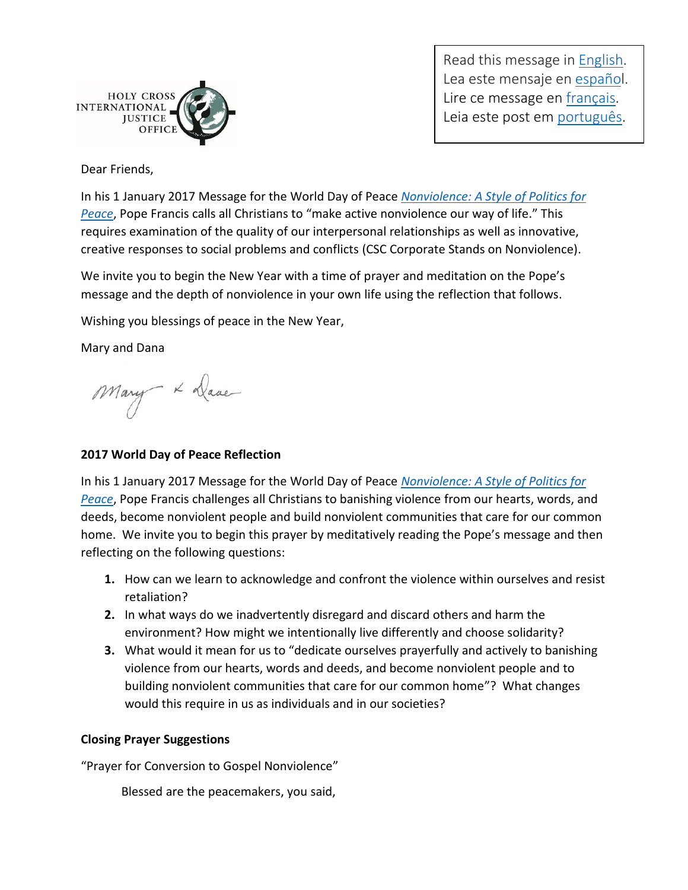

Read this message in [English.](http://www.holycrossjustice.org/resources/HCIJO%20Document%20Library/2017WorldDayofPrayer/WorldDayofPeace.2017.eng.pdf) Lea este mensaje en [español](http://www.holycrossjustice.org/resources/HCIJO%20Document%20Library/2017WorldDayofPrayer/WorldDayofPeace.2017.esp.pdf). Lire ce message en [français.](http://www.holycrossjustice.org/resources/HCIJO%20Document%20Library/2017WorldDayofPrayer/WorldDayofPeace.2017.fr.pdf) Leia este post em [português.](http://www.holycrossjustice.org/resources/HCIJO%20Document%20Library/2017WorldDayofPrayer/WorldDayofPeace.2017.port.pdf)

Dear Friends,

In his 1 January 2017 Message for the World Day of Peace *[Nonviolence: A Style of Politics for](https://w2.vatican.va/content/francesco/en/messages/peace/documents/papa-francesco_20161208_messaggio-l-giornata-mondiale-pace-2017.html)  [Peace](https://w2.vatican.va/content/francesco/en/messages/peace/documents/papa-francesco_20161208_messaggio-l-giornata-mondiale-pace-2017.html)*, Pope Francis calls all Christians to "make active nonviolence our way of life." This requires examination of the quality of our interpersonal relationships as well as innovative, creative responses to social problems and conflicts (CSC Corporate Stands on Nonviolence).

We invite you to begin the New Year with a time of prayer and meditation on the Pope's message and the depth of nonviolence in your own life using the reflection that follows.

Wishing you blessings of peace in the New Year,

Mary and Dana

Mary x Dave

## **2017 World Day of Peace Reflection**

In his 1 January 2017 Message for the World Day of Peace *[Nonviolence: A Style of Politics for](https://w2.vatican.va/content/francesco/en/messages/peace/documents/papa-francesco_20161208_messaggio-l-giornata-mondiale-pace-2017.html)  [Peace](https://w2.vatican.va/content/francesco/en/messages/peace/documents/papa-francesco_20161208_messaggio-l-giornata-mondiale-pace-2017.html)*, Pope Francis challenges all Christians to banishing violence from our hearts, words, and deeds, become nonviolent people and build nonviolent communities that care for our common home. We invite you to begin this prayer by meditatively reading the Pope's message and then reflecting on the following questions:

- **1.** How can we learn to acknowledge and confront the violence within ourselves and resist retaliation?
- **2.** In what ways do we inadvertently disregard and discard others and harm the environment? How might we intentionally live differently and choose solidarity?
- **3.** What would it mean for us to "dedicate ourselves prayerfully and actively to banishing violence from our hearts, words and deeds, and become nonviolent people and to building nonviolent communities that care for our common home"? What changes would this require in us as individuals and in our societies?

## **Closing Prayer Suggestions**

"Prayer for Conversion to Gospel Nonviolence"

Blessed are the peacemakers, you said,